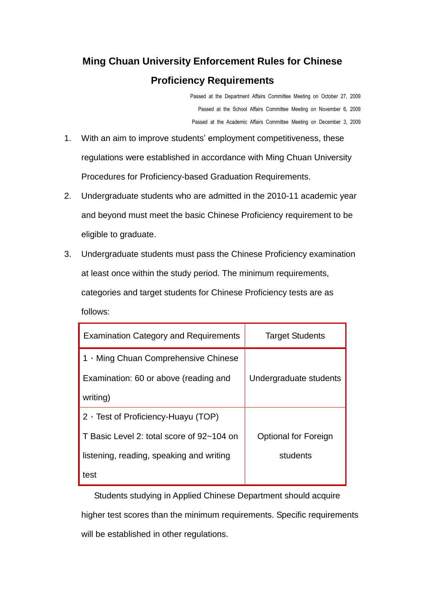## **Ming Chuan University Enforcement Rules for Chinese Proficiency Requirements**

Passed at the Department Affairs Committee Meeting on October 27, 2009 Passed at the School Affairs Committee Meeting on November 6, 2009 Passed at the Academic Affairs Committee Meeting on December 3, 2009

- 1. With an aim to improve students' employment competitiveness, these regulations were established in accordance with Ming Chuan University Procedures for Proficiency-based Graduation Requirements.
- 2. Undergraduate students who are admitted in the 2010-11 academic year and beyond must meet the basic Chinese Proficiency requirement to be eligible to graduate.
- 3. Undergraduate students must pass the Chinese Proficiency examination at least once within the study period. The minimum requirements, categories and target students for Chinese Proficiency tests are as follows:

| <b>Examination Category and Requirements</b> | <b>Target Students</b>      |
|----------------------------------------------|-----------------------------|
| 1 Ming Chuan Comprehensive Chinese           |                             |
| Examination: 60 or above (reading and        | Undergraduate students      |
| writing)                                     |                             |
| $2 \cdot$ Test of Proficiency-Huayu (TOP)    |                             |
| T Basic Level 2: total score of 92~104 on    | <b>Optional for Foreign</b> |
| listening, reading, speaking and writing     | students                    |
| test                                         |                             |

 Students studying in Applied Chinese Department should acquire higher test scores than the minimum requirements. Specific requirements will be established in other regulations.